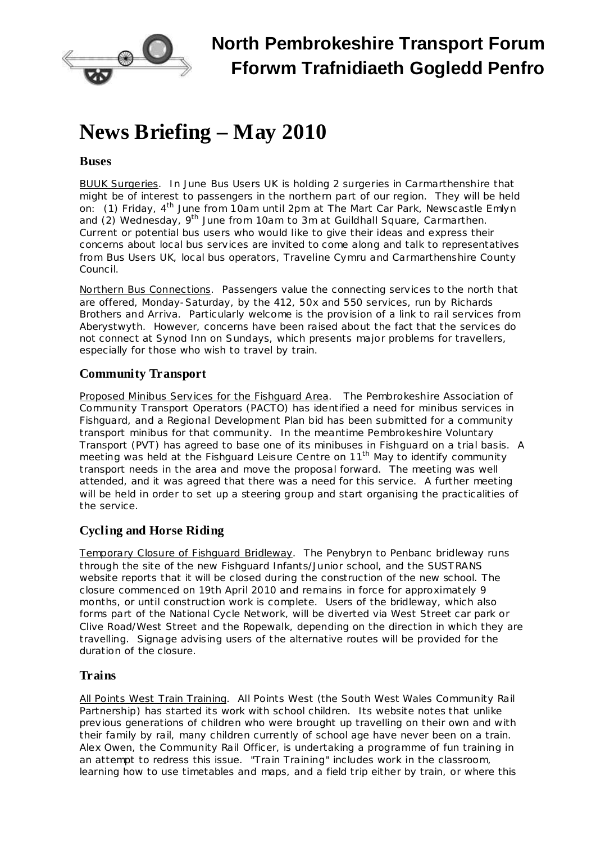

# **News Briefing – May 2010**

### **Buses**

BUUK Surgeries. In June Bus Users UK is holding 2 surgeries in Carmarthenshire that might be of interest to passengers in the northern part of our region. They will be held on: (1) Friday, 4<sup>th</sup> June from 10am until 2pm at The Mart Car Park, Newscastle Emlyn and (2) Wednesday, 9<sup>th</sup> June from 10am to 3m at Guildhall Square, Carmarthen. Current or potential bus users who would like to give their ideas and express their concerns about local bus services are invited to come along and talk to representatives from Bus Users UK, local bus operators, Traveline Cymru and Carmarthenshire County Council.

Northern Bus Connections. Passengers value the connecting services to the north that are offered, Monday-Saturday, by the 412, 50x and 550 services, run by Richards Brothers and Arriva. Particularly welcome is the provision of a link to rail services from Aberystwyth. However, concerns have been raised about the fact that the services do not connect at Synod Inn on Sundays, which presents major problems for travellers, especially for those who wish to travel by train.

## **Community Transport**

Proposed Minibus Services for the Fishguard Area. The Pembrokeshire Association of Community Transport Operators (PACTO) has identified a need for minibus services in Fishguard, and a Regional Development Plan bid has been submitted for a community transport minibus for that community. In the meantime Pembrokeshire Voluntary Transport (PVT) has agreed to base one of its minibuses in Fishguard on a trial basis. A meeting was held at the Fishguard Leisure Centre on 11<sup>th</sup> May to identify community transport needs in the area and move the proposal forward. The meeting was well attended, and it was agreed that there was a need for this service. A further meeting will be held in order to set up a steering group and start organising the practicalities of the service.

## **Cycling and Horse Riding**

Temporary Closure of Fishguard Bridleway. The Penybryn to Penbanc bridleway runs through the site of the new Fishguard Infants/Junior school, and the SUSTRANS website reports that it will be closed during the construction of the new school. The closure commenced on 19th April 2010 and remains in force for approximately 9 months, or until construction work is complete. Users of the bridleway, which also forms part of the National Cycle Network, will be diverted via West Street car park or Clive Road/West Street and the Ropewalk, depending on the direction in which they are travelling. Signage advising users of the alternative routes will be provided for the duration of the closure.

## **Trains**

All Points West Train Training. All Points West (the South West Wales Community Rail Partnership) has started its work with school children. Its website notes that unlike previous generations of children who were brought up travelling on their own and with their family by rail, many children currently of school age have never been on a train. Alex Owen, the Community Rail Officer, is undertaking a programme of fun training in an attempt to redress this issue. "Train Training" includes work in the classroom, learning how to use timetables and maps, and a field trip either by train, or where this